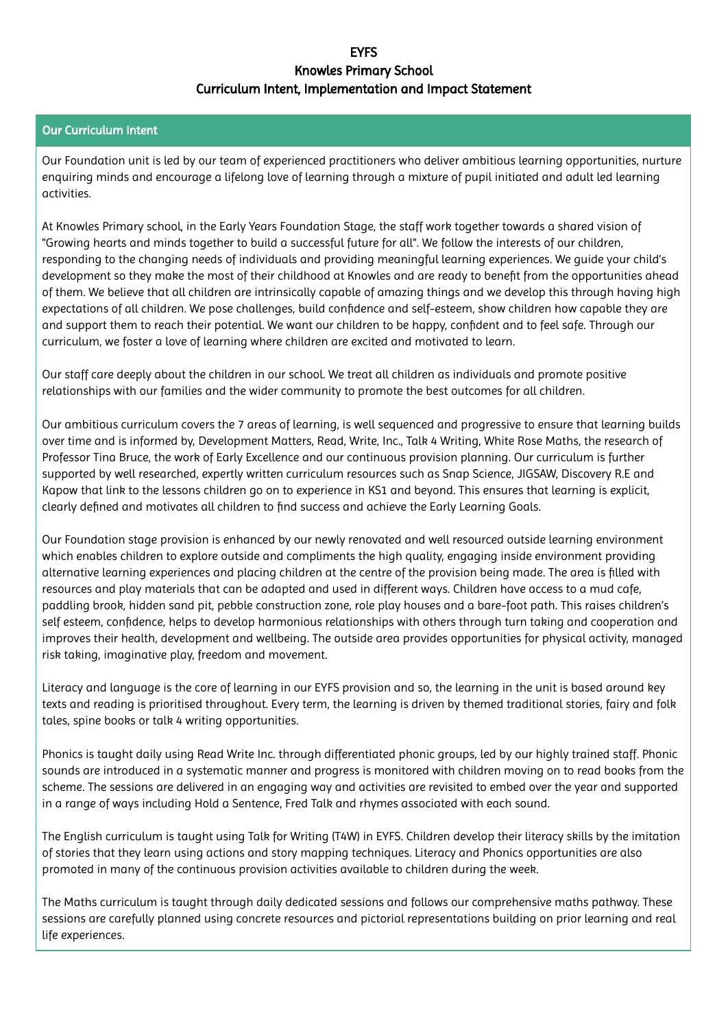## **EVES** Knowles Primary School Curriculum Intent, Implementation and Impact Statement

## Our Curriculum Intent

Our Foundation unit is led by our team of experienced practitioners who deliver ambitious learning opportunities, nurture enquiring minds and encourage a lifelong love of learning through a mixture of pupil initiated and adult led learning activities.

At Knowles Primary school, in the Early Years Foundation Stage, the staff work together towards a shared vision of "Growing hearts and minds together to build a successful future for all". We follow the interests of our children, responding to the changing needs of individuals and providing meaningful learning experiences. We guide your child's development so they make the most of their childhood at Knowles and are ready to benefit from the opportunities ahead of them. We believe that all children are intrinsically capable of amazing things and we develop this through having high expectations of all children. We pose challenges, build confidence and self-esteem, show children how capable they are and support them to reach their potential. We want our children to be happy, confident and to feel safe. Through our curriculum, we foster a love of learning where children are excited and motivated to learn.

Our staff care deeply about the children in our school. We treat all children as individuals and promote positive relationships with our families and the wider community to promote the best outcomes for all children.

Our ambitious curriculum covers the 7 areas of learning, is well sequenced and progressive to ensure that learning builds over time and is informed by, Development Matters, Read, Write, Inc., Talk 4 Writing, White Rose Maths, the research of Professor Tina Bruce, the work of Early Excellence and our continuous provision planning. Our curriculum is further supported by well researched, expertly written curriculum resources such as Snap Science, JIGSAW, Discovery R.E and Kapow that link to the lessons children go on to experience in KS1 and beyond. This ensures that learning is explicit, clearly defined and motivates all children to find success and achieve the Early Learning Goals.

Our Foundation stage provision is enhanced by our newly renovated and well resourced outside learning environment which enables children to explore outside and compliments the high quality, engaging inside environment providing alternative learning experiences and placing children at the centre of the provision being made. The area is filled with resources and play materials that can be adapted and used in different ways. Children have access to a mud cafe, paddling brook, hidden sand pit, pebble construction zone, role play houses and a bare-foot path. This raises children's self esteem, confidence, helps to develop harmonious relationships with others through turn taking and cooperation and improves their health, development and wellbeing. The outside area provides opportunities for physical activity, managed risk taking, imaginative play, freedom and movement.

Literacy and language is the core of learning in our EYFS provision and so, the learning in the unit is based around key texts and reading is prioritised throughout. Every term, the learning is driven by themed traditional stories, fairy and folk tales, spine books or talk 4 writing opportunities.

Phonics is taught daily using Read Write Inc. through differentiated phonic groups, led by our highly trained staff. Phonic sounds are introduced in a systematic manner and progress is monitored with children moving on to read books from the scheme. The sessions are delivered in an engaging way and activities are revisited to embed over the year and supported in a range of ways including Hold a Sentence, Fred Talk and rhymes associated with each sound.

The English curriculum is taught using Talk for Writing (T4W) in EYFS. Children develop their literacy skills by the imitation of stories that they learn using actions and story mapping techniques. Literacy and Phonics opportunities are also promoted in many of the continuous provision activities available to children during the week.

The Maths curriculum is taught through daily dedicated sessions and follows our comprehensive maths pathway. These sessions are carefully planned using concrete resources and pictorial representations building on prior learning and real life experiences.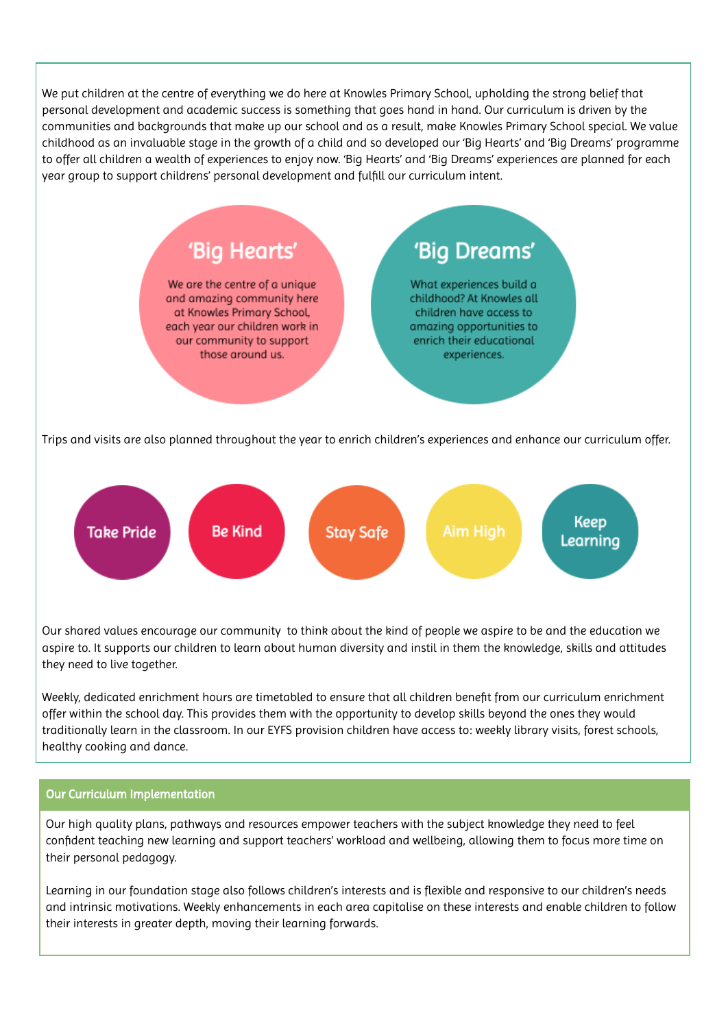We put children at the centre of everything we do here at Knowles Primary School, upholding the strong belief that personal development and academic success is something that goes hand in hand. Our curriculum is driven by the communities and backgrounds that make up our school and as a result, make Knowles Primary School special. We value childhood as an invaluable stage in the growth of a child and so developed our 'Big Hearts' and 'Big Dreams' programme to offer all children a wealth of experiences to enjoy now. 'Big Hearts' and 'Big Dreams' experiences are planned for each year group to support childrens' personal development and fulfill our curriculum intent.



Our shared values encourage our community to think about the kind of people we aspire to be and the education we aspire to. It supports our children to learn about human diversity and instil in them the knowledge, skills and attitudes they need to live together.

Weekly, dedicated enrichment hours are timetabled to ensure that all children benefit from our curriculum enrichment offer within the school day. This provides them with the opportunity to develop skills beyond the ones they would traditionally learn in the classroom. In our EYFS provision children have access to: weekly library visits, forest schools, healthy cooking and dance.

## Our Curriculum Implementation

Our high quality plans, pathways and resources empower teachers with the subject knowledge they need to feel confident teaching new learning and support teachers' workload and wellbeing, allowing them to focus more time on their personal pedagogy.

Learning in our foundation stage also follows children's interests and is flexible and responsive to our children's needs and intrinsic motivations. Weekly enhancements in each area capitalise on these interests and enable children to follow their interests in greater depth, moving their learning forwards.